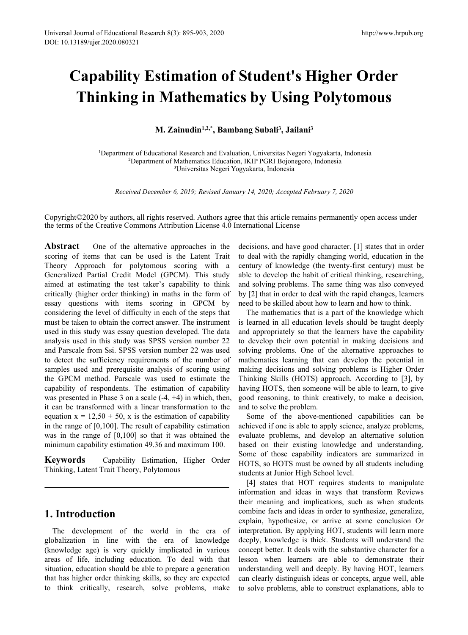# **Capability Estimation of Student's Higher Order Thinking in Mathematics by Using Polytomous** Arch 8(3): 895-903, 2020<br> **Mathematics by Using Polytomous<br>
M. Zainudin<sup>1,2,\*</sup>, Bambang Subali<sup>3</sup>, Jailani<sup>3</sup><br>
M. Zainudin<sup>1,2,\*</sup>, Bambang Subali<sup>3</sup>, Jailani<sup>3</sup><br>
Cational Research and Evaluation, Universitas Negeri Yogyaka** http://www.hrpub.or<br> **nt's Higher Order<br>
Sing Polytomous**<br> **, Jailani<sup>3</sup><br>
as Negeri Yogyakarta, Indonesia<br>
Mojonegoro, Indonesia<br>
Mesia**

Department of Educational Research and Evaluation, Universitas Negeri Yogyakarta, Indonesia Department of Mathematics Education, IKIP PGRI Bojonegoro, Indonesia Universitas Negeri Yogyakarta, Indonesia *Received December 6, 2019; Revised January 14, 2020; Accepted February 7, 2020***<br>** *Received December 6, 2019; Revised January 14, 2020; Accepted February 7, 2020***<br>** *Received December 6, 2019; Revised January 14, 2020; Acc* 

Copyright©2020 by authors, all rights reserved. Authors agree that this article remains permanently open access under the terms of the Creative Commons Attribution License 4.0 International License

**Abstract** One of the alternative approaches in the scoring of items that can be used is the Latent Trait Theory Approach for polytomous scoring with a Generalized Partial Credit Model (GPCM). This study aimed at estimating the test taker's capability to think critically (higher order thinking) in maths in the form of essay questions with items scoring in GPCM by considering the level of difficulty in each of the steps that must be taken to obtain the correct answer. The instrument used in this study was essay question developed.The data analysis used in this study was SPSS version number 22 and Parscale from Ssi. SPSS version number 22 was used to detect the sufficiency requirements of the number of samples used and prerequisite analysis of scoring using the GPCM method. Parscale was used to estimate the capability of respondents. The estimation of capability was presented in Phase 3 on a scale  $(-4, +4)$  in which, then, it can be transformed with a linear transformation to the equation  $x = 12,50 + 50$ , x is the estimation of capability in the range of [0,100]. The result of capability estimation was in the range of [0,100] so that it was obtained the minimum capability estimation 49.36 and maximum 100.

**Keywords** Capability Estimation, Higher Order Thinking, Latent Trait Theory, Polytomous

# **1. Introduction**

The development of the world in the era of globalization in line with the era of knowledge (knowledge age) is very quickly implicated in various areas of life, including education.To deal with that situation, education should be able to prepare a generation that has higher order thinking skills, so they are expected to think critically, research, solve problems, make decisions, and have good character. [1] states that in order to deal with the rapidly changing world, education in the century of knowledge (the twenty-first century) must be able to develop the habit of critical thinking, researching, and solving problems. The same thing was also conveyed by [2] that in order to deal with the rapid changes, learners need to be skilled about how to learn and how to think.

The mathematics that is a part of the knowledge which is learned in all education levels should be taught deeply and appropriately so that the learners have the capability to develop their own potential in making decisions and solving problems. One of the alternative approaches to mathematics learning that can develop the potential in making decisions and solving problems is Higher Order Thinking Skills (HOTS) approach. According to [3], by having HOTS, then someone will be able to learn, to give good reasoning, to think creatively, to make a decision, and to solve the problem.

Some of the above-mentioned capabilities can be achieved if one is able to apply science, analyze problems, evaluate problems, and develop an alternative solution based on their existing knowledge and understanding. Some of those capability indicators are summarized in HOTS, so HOTS must be owned by all students including students at Junior High School level.

[4] states that HOT requires students to manipulate information and ideas in ways that transform Reviews their meaning and implications, such as when students combine facts and ideas in order to synthesize, generalize, explain, hypothesize, or arrive at some conclusion Or interpretation. By applying HOT, students will learn more deeply, knowledge is thick. Students will understand the concept better. It deals with the substantive character for a lesson when learners are able to demonstrate their understanding well and deeply. By having HOT, learners can clearly distinguish ideas or concepts, argue well, able to solve problems, able to construct explanations, able to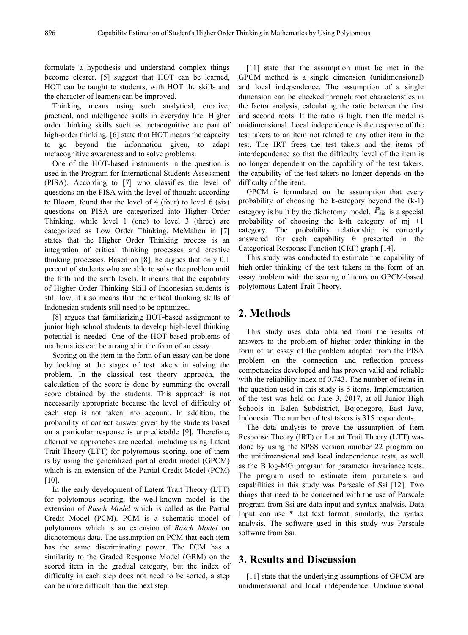formulate a hypothesis and understand complex things become clearer. [5] suggest that HOT can be learned, HOT can be taught to students, with HOT the skills and the character of learners can be improved.

Thinking means using such analytical, creative, practical, and intelligence skills in everyday life. Higher order thinking skills such as metacognitive are part of high-order thinking. [6] state that HOT means the capacity to go beyond the information given, to adapt metacognitive awareness and to solve problems.

One of the HOT-based instruments in the question is used in the Program for International Students Assessment (PISA). According to [7] who classifies the level of questions on the PISA with the level of thought according to Bloom, found that the level of 4 (four) to level 6 (six) questions on PISA are categorized into Higher Order Thinking, while level 1 (one) to level 3 (three) are categorized as Low Order Thinking. McMahon in [7] states that the Higher Order Thinking process is an integration of critical thinking processes and creative thinking processes. Based on [8], he argues that only 0.1 percent of students who are able to solve the problem until the fifth and the sixth levels. It means that the capability of Higher Order Thinking Skill of Indonesian students is still low, it also means that the critical thinking skills of Indonesian students still need to be optimized.

[8] argues that familiarizing HOT-based assignment to junior high school students to develop high-level thinking potential is needed. One of the HOT-based problems of mathematics can be arranged in the form of an essay.

Scoring on the item in the form of an essay can be done by looking at the stages of test takers in solving the problem. In the classical test theory approach, the calculation of the score is done by summing the overall score obtained by the students. This approach is not necessarily appropriate because the level of difficulty of each step is not taken into account. In addition, the probability of correct answer given by the students based on a particular response is unpredictable [9]. Therefore, alternative approaches are needed, including using Latent Trait Theory (LTT) for polytomous scoring, one of them is by using the generalized partial credit model (GPCM) which is an extension of the Partial Credit Model (PCM)  $[10]$ .

In the early development of Latent Trait Theory (LTT) for polytomous scoring, the well-known model is the extension of *Rasch Model* which is called as the Partial Credit Model (PCM). PCM is a schematic model of polytomous which is an extension of *Rasch Model* on dichotomous data. The assumption on PCM that each item has the same discriminating power. The PCM has a similarity to the Graded Response Model (GRM) on the scored item in the gradual category, but the index of difficulty in each step does not need to be sorted, a step can be more difficult than the next step.

[11] state that the assumption must be met in the GPCM method is a single dimension (unidimensional) and local independence. The assumption of a single dimension can be checked through root characteristics in the factor analysis, calculating the ratio between the first and second roots. If the ratio is high, then the model is unidimensional. Local independence is the response of the test takers to an item not related to any other item in the test. The IRT frees the test takers and the items of interdependence so that the difficulty level of the item is no longer dependent on the capability of the test takers, the capability of the test takers no longer depends on the difficulty of the item.

GPCM is formulated on the assumption that every probability of choosing the k-category beyond the (k-1) category is built by the dichotomy model.  $P_{ik}$  is a special probability of choosing the k-th category of  $m<sub>i</sub> +1$ category. The probability relationship is correctly answered for each capability  $\theta$  presented in the Categorical Response Function (CRF) graph [14].

This study was conducted to estimate the capability of high-order thinking of the test takers in the form of an essay problem with the scoring of items on GPCM-based polytomous Latent Trait Theory.

# **2. Methods**

This study uses data obtained from the results of answers to the problem of higher order thinking in the form of an essay of the problem adapted from the PISA problem on the connection and reflection process competencies developed and has proven valid and reliable with the reliability index of 0.743. The number of items in the question used in this study is 5 items. Implementation of the test was held on June 3, 2017, at all Junior High Schools in Balen Subdistrict, Bojonegoro, East Java, Indonesia. The number of test takers is 315 respondents.

The data analysis to prove the assumption of Item Response Theory (IRT) or Latent Trait Theory (LTT) was done by using the SPSS version number 22 program on the unidimensional and local independence tests, as well as the Bilog-MG program for parameter invariance tests. The program used to estimate item parameters and capabilities in this study was Parscale of Ssi [12]. Two things that need to be concerned with the use of Parscale program from Ssi are data input and syntax analysis. Data Input can use \* .txt text format, similarly, the syntax analysis. The software used in this study was Parscale software from Ssi.

### **3. Results and Discussion**

[11] state that the underlying assumptions of GPCM are unidimensional and local independence. Unidimensional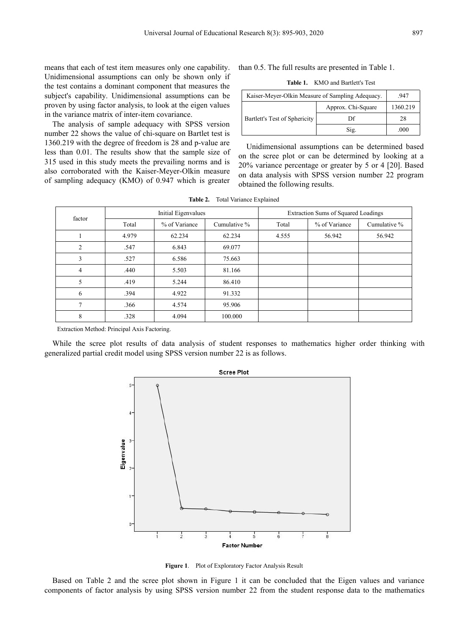Unidimensional assumptions can only be shown only if the test contains a dominant component that measures the subject's capability. Unidimensional assumptions can be proven by using factor analysis, to look at the eigen values in the variance matrix of inter-item covariance.

The analysis of sample adequacy with SPSS version number 22 shows the value of chi-square on Bartlet test is 1360.219 with the degree of freedom is 28 and p-value are less than 0.01. The results show that the sample size of 315 used in this study meets the prevailing norms and is also corroborated with the Kaiser-Meyer-Olkin measure of sampling adequacy (KMO) of 0.947 which is greater than 0.5. The full results are presented in Table 1.

| <b>Table 1.</b> KMO and Bartlett's Test |
|-----------------------------------------|
|-----------------------------------------|

| Kaiser-Meyer-Olkin Measure of Sampling Adequacy. |                    | .947     |
|--------------------------------------------------|--------------------|----------|
|                                                  | Approx. Chi-Square | 1360.219 |
| Bartlett's Test of Sphericity                    | Df                 | 28       |
|                                                  | Sig.               | .000     |

Unidimensional assumptions can be determined based on the scree plot or can be determined by looking at a 20% variance percentage or greater by 5 or 4 [20]. Based on data analysis with SPSS version number 22 program obtained the following results.

|                |       |                     | $\frac{1}{2}$ |                                     |                                   |              |  |  |  |
|----------------|-------|---------------------|---------------|-------------------------------------|-----------------------------------|--------------|--|--|--|
| factor         |       | Initial Eigenvalues |               | Extraction Sums of Squared Loadings |                                   |              |  |  |  |
|                | Total | % of Variance       | Cumulative %  | Total                               | % of Variance<br>56.942<br>56.942 | Cumulative % |  |  |  |
|                | 4.979 | 62.234              | 62.234        | 4.555                               |                                   |              |  |  |  |
| $\overline{2}$ | .547  | 6.843               | 69.077        |                                     |                                   |              |  |  |  |
| 3              | .527  | 6.586               | 75.663        |                                     |                                   |              |  |  |  |
| 4              | .440  | 5.503               | 81.166        |                                     |                                   |              |  |  |  |
| 5              | .419  | 5.244               | 86.410        |                                     |                                   |              |  |  |  |
| 6              | .394  | 4.922               | 91.332        |                                     |                                   |              |  |  |  |
|                | .366  | 4.574               | 95.906        |                                     |                                   |              |  |  |  |
| 8              | .328  | 4.094               | 100.000       |                                     |                                   |              |  |  |  |

**Table 2.** Total Variance Explained

Extraction Method: Principal Axis Factoring.

While the scree plot results of data analysis of student responses to mathematics higher order thinking with generalized partial credit model using SPSS version number 22 is as follows.



**Figure 1**. Plot of Exploratory Factor Analysis Result

Based on Table 2 and the scree plot shown in Figure 1 it can be concluded that the Eigen values and variance components of factor analysis by using SPSS version number 22 from the student response data to the mathematics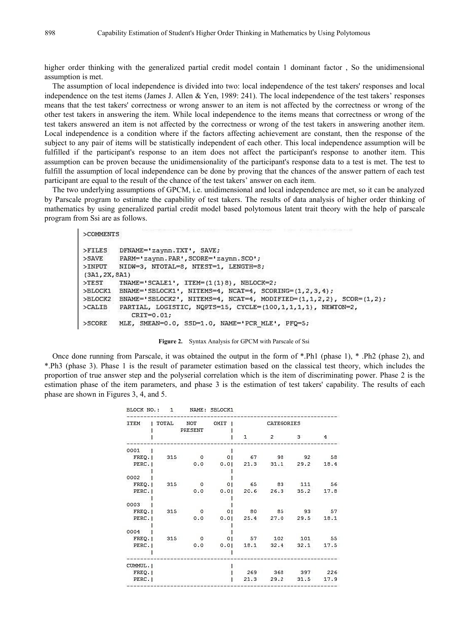higher order thinking with the generalized partial credit model contain 1 dominant factor, So the unidimensional assumption is met.

The assumption of local independence is divided into two: local independence of the test takers' responses and local independence on the test items (James J. Allen & Yen, 1989: 241). The local independence of the test takers' responses means that the test takers' correctness or wrong answerto an item is not affected by the correctness or wrong of the other test takers in answering the item. While local independence to the items means that correctness or wrong of the test takers answered an item is not affected by the correctness or wrong of the test takers in answering another item. Local independence is a condition where if the factors affecting achievement are constant, then the response of the subject to any pair of items will be statistically independent of each other. This local independence assumption will be fulfilled if the participant's response to an item does not affect the participant's response to another item. This assumption can be proven because the unidimensionality of the participant's response data to a test is met. The test to fulfill the assumption of local independence can be done by proving that the chances of the answer pattern of each test participant are equal to the result of the chance of the test takers' answer on each item.

The two underlying assumptions of GPCM, i.e. unidimensional and local independence are met, so it can be analyzed by Parscale program to estimate the capability of test takers. The results of data analysis of higher order thinking of mathematics by using generalized partial credit model based polytomous latent trait theory with the help of parscale program from Ssi are as follows.

```
>COMMENTS
```

```
DFNAME='zaynn.TXT', SAVE;
>FILES
         PARM='zaynn. PAR', SCORE='zaynn. SCO';
>SAVE>INPUT
         NIDW=3, NTOTAL=8, NTEST=1, LENGTH=8;
(3A1, 2X, 8A1)TNAME='SCALE1', ITEM=(1(1)8), NBLOCK=2;
>TEST
>BLOCK1 BNAME='SBLOCK1', NITEMS=4, NCAT=4, SCORING=(1,2,3,4);
>BLOCK2 BNAME='SBLOCK2', NITEMS=4, NCAT=4, MODIFIED=(1,1,2,2), SCOR=(1,2);
>CALIB
         PARTIAL, LOGISTIC, NQPTS=15, CYCLE=(100,1,1,1,1), NEWTON=2,
            CRIT=0.01;
>SCORE
         MLE, SMEAN=0.0, SSD=1.0, NAME='PCR MLE', PFQ=5;
```

```
Figure 2. Syntax Analysis for GPCM with Parscale of Ssi
```
Once done running from Parscale, it was obtained the output in the form of \*.Ph1 (phase 1), \* .Ph2 (phase 2), and \*.Ph3 (phase 3). Phase 1 is the result of parameter estimation based on the classical test theory, which includes the proportion of true answer step and the polyserial correlation which is the item of discriminating power. Phase 2 is the estimation phase of the item parameters, and phase 3 is the estimation of test takers' capability. The results of each phase are shown in Figures 3, 4, and 5.

| BLOCK NO.:  | $\mathbf{1}$ |                | NAME: SBLOCK1 |      |                |      |                |
|-------------|--------------|----------------|---------------|------|----------------|------|----------------|
| <b>ITEM</b> | TOTAL        | NOT<br>PRESENT | OMIT          |      | CATEGORIES     |      |                |
|             |              |                |               | 1    | $\overline{2}$ | 3    | $\overline{4}$ |
| 0001        |              |                |               |      |                |      |                |
| FREQ.       | 315          | 0              | 01            | 67   | 98             | 92   | 58             |
| PERC.       |              | 0.0            | 0.01          | 21.3 | 31.1           | 29.2 | 18.4           |
| 0002        |              |                |               |      |                |      |                |
| FREQ.       | 315          | 0              | $\Omega$      | 65   | 83             | 111  | 56             |
| PERC. I     |              | 0.0            | 0.01          | 20.6 | 26.3           | 35.2 | 17.8           |
|             |              |                |               |      |                |      |                |
| 0003        |              |                |               |      |                |      |                |
| FREQ.       | 315          | $\circ$        | $\Omega$      | 80   | 85             | 93   | 57             |
| PERC.       |              | 0.0            | 0.01          | 25.4 | 27.0           | 29.5 | 18.1           |
|             |              |                |               |      |                |      |                |
| 0004        |              |                |               |      |                |      |                |
| FREQ.       | 315          | 0              | $\Omega$      | 57   | 102            | 101  | 55             |
| PERC.       |              | 0.0            | 0.01          | 18.1 | 32.4           | 32.1 | 17.5           |
|             |              |                |               |      |                |      |                |
| CUMMUL.     |              |                |               |      |                |      |                |
| FREQ. 1     |              |                |               | 269  | 368            | 397  | 226            |
| PERC. I     |              |                |               | 21.3 | 29.2           | 31.5 | 17.9           |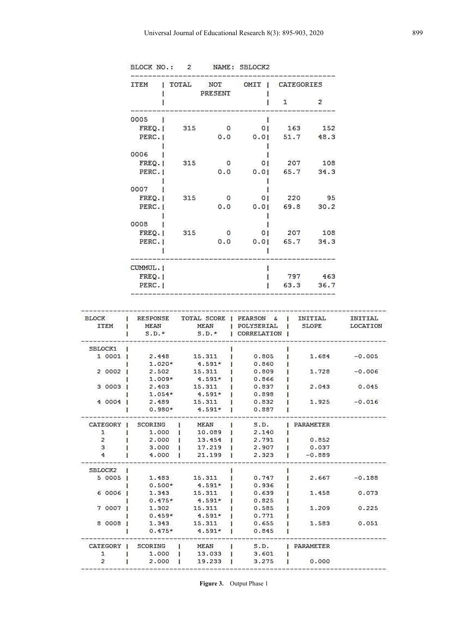| <b>ITEM</b> | TOTAL | NOT<br>PRESENT | OMIT | CATEGORIES |                |
|-------------|-------|----------------|------|------------|----------------|
|             |       |                |      | 1          | $\overline{2}$ |
| 0005        |       |                |      |            |                |
| FREQ.       | 315   | o              | 01   | 163        | 152            |
| PERC.       |       | 0.0            | 0.01 | 51.7       | 48.3           |
| 0006        |       |                |      |            |                |
| FREQ.       | 315   | 0              | 01   | 207        | 108            |
| PERC. I     |       | 0.0            | 0.01 | 65.7       | 34.3           |
| 0007        |       |                |      |            |                |
| FREQ.       | 315   | 0              | 01   | 220        | 95             |
| PERC. I     |       | 0.0            | 0.01 | 69.8       | 30.2           |
| 0008        |       |                |      |            |                |
| FREQ.       | 315   | o              | 01   | 207        | 108            |
| PERC. I     |       | 0.0            | 0.01 | 65.7       | 34.3           |
|             |       |                |      |            |                |
| CUMMUL. I   |       |                |      |            |                |
| FREQ.       |       |                |      | 797        | 463            |
| PERC.       |       |                |      | 63.3       | 36.7           |

| <b>BLOCK</b><br><b>ITEM</b> | RESPONSE<br>MEAN | TOTAL SCORE  <br>MEAN | PEARSON &<br>POLYSERIAL | INITIAL.<br><b>SLOPE</b> | INITIAL<br>LOCATION |
|-----------------------------|------------------|-----------------------|-------------------------|--------------------------|---------------------|
|                             | $S.D.*$          | $S.D.$ *              | CORRELATION             |                          |                     |
| SBLOCK1                     |                  |                       |                         |                          |                     |
| 1 0001                      | 2.448            | 15.311                | 0.805                   | 1.684                    | $-0.005$            |
|                             | $1.020*$         | $4.591*$              | 0.860                   |                          |                     |
| 2 0002                      | 2.502            | 15.311                | 0.809                   | 1.728                    | $-0.006$            |
|                             | $1.009*$         | $4.591*$              | 0.866                   |                          |                     |
| 3 0003                      | 2.403            | 15.311                | 0.837                   | 2.043                    | 0.045               |
|                             | $1.054*$         | $4.591*$              | 0.898                   |                          |                     |
| 4 0004                      | 2.489            | 15.311                | 0.832                   | 1.925                    | $-0.016$            |
|                             | $0.980*$         | $4.591*$              | 0.887                   |                          |                     |
| CATEGORY                    | SCORING          | MEAN                  | S.D.                    | PARAMETER                |                     |
| $\mathbf{1}$                | 1,000            | 10.089                | 2.140                   |                          |                     |
| $\overline{2}$              | 2.000            | 13.454                | 2.791                   | 0.852                    |                     |
| 3                           | 3.000            | 17.219                | 2.907                   | 0.037                    |                     |
| 4                           | 4.000            | 21.199                | 2.323                   | $-0.889$                 |                     |
| SBLOCK2                     |                  |                       |                         |                          |                     |
| 5 0005                      | 1.483            | 15.311                | 0.747                   | 2.667                    | $-0.188$            |
|                             | $0.500*$         | $4.591*$              | 0.936                   |                          |                     |
| 6 0006                      | 1.343            | 15.311                | 0.639                   | 1.458                    | 0.073               |
|                             | $0.475*$         | $4.591*$              | 0.825                   |                          |                     |
| 7 0007                      | 1.302            | 15.311                | 0.585                   | 1.209                    | 0.225               |
|                             | $0.459*$         | $4.591*$              | 0.771                   |                          |                     |
| 8 0008                      | 1.343            | 15.311                | 0.655                   | 1.583                    | 0.051               |
|                             | $0.475*$         | $4.591*$              | 0.845                   |                          |                     |
| CATEGORY                    | SCORING          | MEAN                  | S.D.                    | PARAMETER                |                     |
| $\mathbf{1}$                | 1.000            | 13.033                | 3.601                   |                          |                     |
| $\overline{2}$              | 2.000            | 19.233                | 3.275                   | 0.000                    |                     |

BLOCK NO.: 2 NAME: SBLOCK2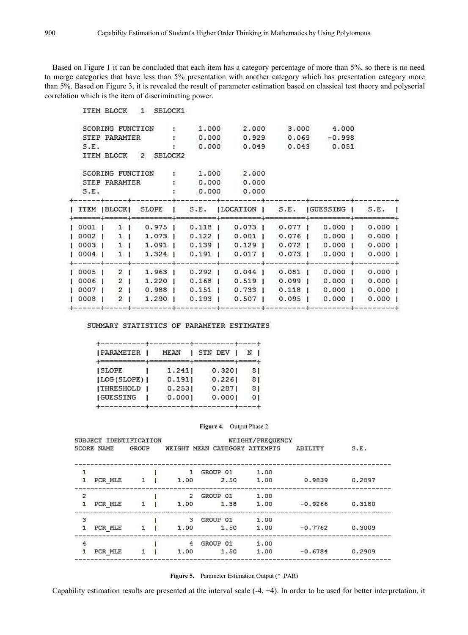Based on Figure 1 it can be concluded that each item has a category percentage of more than 5%, so there is no need to merge categories that have less than 5% presentation with another category which has presentation category more than 5%. Based on Figure 3, it is revealed the result of parameter estimation based on classical test theory and polyserial correlation which is the item of discriminating power.

**ITEM BLOCK** 1 SBLOCK1

|                   |                | SCORING FUNCTION     | 1.000           | 2.000                       | 3.000   | 4.000                                         |           |
|-------------------|----------------|----------------------|-----------------|-----------------------------|---------|-----------------------------------------------|-----------|
|                   | STEP PARAMTER  |                      | 0.000           | 0.929                       | 0.069   | $-0.998$                                      |           |
| S.E.              |                |                      | 0.000           | 0.049                       | 0.043   | 0.051                                         |           |
|                   |                | ITEM BLOCK 2 SBLOCK2 |                 |                             |         |                                               |           |
|                   |                | SCORING FUNCTION     | 1.000           | 2.000                       |         |                                               |           |
|                   | STEP PARAMTER  |                      | 0.000           | 0.000                       |         |                                               |           |
| S.E.              |                |                      | 0.000           | 0.000                       |         |                                               |           |
| ITEM  BLOCK       |                | <b>SLOPE</b>         |                 | S.E. ILOCATION   S.E.       |         | GUESSING 1                                    | S.E.      |
| 0001              | $1 \mid$       | $0.975$              | 0.118           | 0.073                       | $0.077$ | $0.000$                                       | $0.000$   |
| 0002              | $1 \cdot$      |                      |                 |                             |         | 1.073   0.122   0.001   0.076   0.000         | $0.000$ 1 |
| 0003 <sub>1</sub> | $1 \cup$       |                      |                 |                             |         | 1.091   0.139   0.129   0.072   0.000   0.000 | - 1       |
| 0004              | $1 \cdot$      | $1.324$              | $0.191$ $\pm$   | $0.017$                     | 0.073   | 0.0001                                        | $0.000$   |
| 0005              | 2 <sub>1</sub> | 1.963.               | $0.292 \quad  $ | $0.044$                     | $0.081$ | 0.0001                                        | $0.000$   |
| 0006              | $\overline{2}$ |                      |                 |                             |         | 1.220   0.168   0.519   0.099   0.000   0.000 |           |
| 0007              | $\overline{2}$ | $0.988$              |                 | $0.151$   $0.733$   $0.118$ |         | 0.0001                                        | 0.0001    |
| 0008              | $\overline{2}$ | $1.290$              |                 | $0.193$ $0.507$             | $0.095$ | $0.000$                                       | $0.000$   |
|                   |                |                      |                 |                             |         |                                               |           |

SUMMARY STATISTICS OF PARAMETER ESTIMATES

| <b>JPARAMETER</b> | MEAN   | STN DEV |    |
|-------------------|--------|---------|----|
|                   |        |         |    |
| <b>SLOPE</b>      | 1.241  | 0.3201  | 81 |
| [LOG (SLOPE) ]    | 0.1911 | 0.2261  | 81 |
| <b>ITHRESHOLD</b> | 0.2531 | 0.2871  | 81 |
| <b>IGUESSING</b>  | 0.0001 | 0.0001  | 01 |
|                   |        |         |    |

#### **Figure 4.** Output Phase 2

SUBJECT IDENTIFICATION **SCORE NAME** GROUP

**WEIGHT/FREQUENCY** WEIGHT MEAN CATEGORY ATTEMPTS ABILITY

 $S.E.$ 

| PCR MLE |  | 1.00 | 1.38     | 1.00 | $-0.9266$ | 0.3180 |
|---------|--|------|----------|------|-----------|--------|
|         |  | 3    | GROUP 01 | 1.00 |           |        |
| PCR MLE |  | 1.00 | 1.50     | 1.00 | $-0.7762$ | 0.3009 |
|         |  | 4    | GROUP 01 | 1.00 |           |        |
| PCR MLE |  | 1.00 | 1.50     | 1.00 | $-0.6784$ | 0.2909 |

**Figure 5.** Parameter Estimation Output (\* .PAR)

Capability estimation results are presented at the interval scale  $(-4, +4)$ . In order to be used for better interpretation, it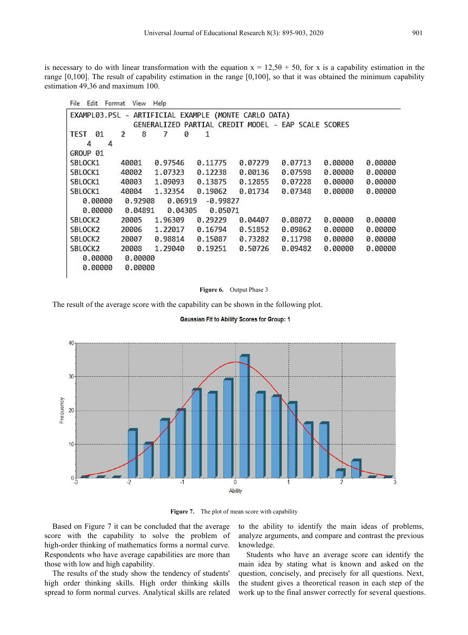is necessary to do with linear transformation with the equation  $x = 12{,}50 + 50$ , for x is a capability estimation in the range  $[0,100]$ . The result of capability estimation in the range  $[0,100]$ , so that it was obtained the minimum capability estimation 49,36 and maximum 100.

| Format       |         |                                                                 |                    |                       |                                         |                                         |
|--------------|---------|-----------------------------------------------------------------|--------------------|-----------------------|-----------------------------------------|-----------------------------------------|
| EXAMPL03.PSL |         |                                                                 |                    |                       |                                         |                                         |
| 2<br>8       | 7<br>0  | 1                                                               |                    |                       |                                         |                                         |
|              |         |                                                                 |                    |                       |                                         |                                         |
| 40001        | 0.97546 | 0.11775                                                         | 0.07279            | 0.07713               | 0.00000                                 | 0.00000                                 |
| 40002        | 1.07323 | 0.12238                                                         | 0.00136            | 0.07598               | 0.00000                                 | 0.00000                                 |
| 40003        | 1.09093 | 0.13875                                                         | 0.12855            | 0.07228               | 0.00000                                 | 0.00000                                 |
| 40004        | 1.32354 | 0.19062                                                         | 0.01734            | 0.07348               | 0.00000                                 | 0.00000                                 |
|              |         |                                                                 |                    |                       |                                         |                                         |
|              |         |                                                                 |                    |                       |                                         |                                         |
| 20005        | 1.96309 | 0.29229                                                         | 0.04407            | 0.08072               | 0.00000                                 | 0.00000                                 |
| 20006        | 1.22017 | 0.16794                                                         | 0.51852            | 0.09862               | 0.00000                                 | 0.00000                                 |
| 20007        | 0.98814 | 0.15087                                                         | 0.73282            | 0.11798               | 0.00000                                 | 0.00000                                 |
| 20008        | 1.29040 | 0.19251                                                         | 0.50726            | 0.09482               | 0.00000                                 | 0.00000                                 |
|              |         |                                                                 |                    |                       |                                         |                                         |
|              |         |                                                                 |                    |                       |                                         |                                         |
|              | View    | Help<br>GENERALIZED<br>0.92908<br>0.04891<br>0.00000<br>0.00000 | 0.06919<br>0.04305 | $-0.99827$<br>0.05071 | - ARTIFICIAL EXAMPLE (MONTE CARLO DATA) | PARTIAL CREDIT MODEL - EAP SCALE SCORES |

#### **Figure 6.** Output Phase 3

The result of the average score with the capability can be shown in the following plot.

**Gaussian Fit to Ability Scores for Group: 1** 



**Figure 7.** The plot of mean score with capability

Based on Figure 7 it can be concluded that the average score with the capability to solve the problem of high-order thinking of mathematics forms a normal curve. Respondents who have average capabilities are more than those with low and high capability.

The results of the study show the tendency of students' high order thinking skills. High order thinking skills spread to form normal curves. Analytical skills are related

to the ability to identify the main ideas of problems, analyze arguments, and compare and contrast the previous knowledge.

Students who have an average score can identify the main idea by stating what is known and asked on the question, concisely, and precisely for all questions. Next, the student gives a theoretical reason in each step of the work up to the final answer correctly for several questions.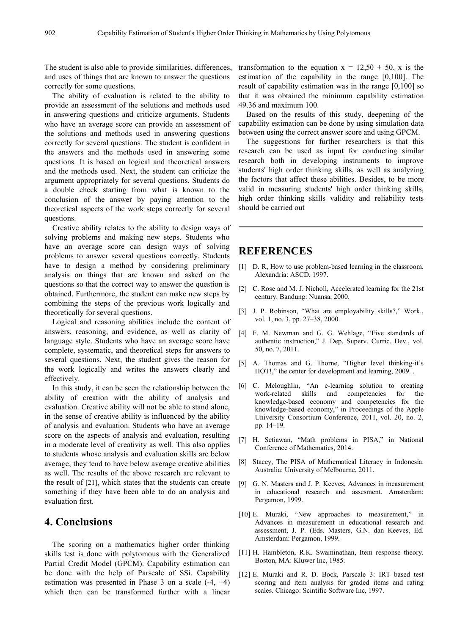The student is also able to provide similarities, differences, and uses of things that are known to answer the questions correctly for some questions.

The ability of evaluation is related to the ability to provide an assessment of the solutions and methods used in answering questions and criticize arguments. Students who have an average score can provide an assessment of the solutions and methods used in answering questions correctly for several questions. The student is confident in the answers and the methods used in answering some questions. It is based on logical and theoretical answers and the methods used. Next, the student can criticize the argument appropriately for several questions. Students do a double check starting from what is known to the conclusion of the answer by paying attention to the theoretical aspects of the work steps correctly for several questions.

Creative ability relates to the ability to design ways of solving problems and making new steps. Students who have an average score can design ways of solving problems to answer several questions correctly. Students have to design a method by considering preliminary analysis on things that are known and asked on the questions so that the correct way to answer the question is obtained. Furthermore, the student can make new steps by combining the steps of the previous work logically and theoretically for several questions.

Logical and reasoning abilities include the content of answers, reasoning, and evidence, as well as clarity of language style. Students who have an average score have complete, systematic, and theoretical steps for answers to several questions. Next, the student gives the reason for the work logically and writes the answers clearly and effectively.

In this study, it can be seen the relationship between the  $\begin{bmatrix} 6 \end{bmatrix}$  C. Mcloughli ability of creation with the ability of analysis and work-related skills evaluation. Creative ability will not be able to stand alone, in the sense of creative ability is influenced by the ability of analysis and evaluation. Students who have an average score on the aspects of analysis and evaluation, resulting in a moderate level of creativity as well. This also applies to students whose analysis and evaluation skills are below average; they tend to have below average creative abilities as well. The results of the above research are relevant to the result of [21], which states that the students can create something if they have been able to do an analysis and evaluation first.

## **4. Conclusions**

The scoring on a mathematics higher order thinking skills test is done with polytomous with the Generalized Partial Credit Model (GPCM). Capability estimation can be done with the help of Parscale of SSi. Capability estimation was presented in Phase 3 on a scale (-4, +4) which then can be transformed further with a linear

transformation to the equation  $x = 12.5\theta + 50$ , x is the estimation of the capability in the range [0,100]. The result of capability estimation was in the range [0,100] so that it was obtained the minimum capability estimation 49.36 and maximum 100.

Based on the results of this study, deepening of the capability estimation can be done by using simulation data between using the correct answer score and using GPCM.

The suggestions for further researchers is that this research can be used as input for conducting similar research both in developing instruments to improve students' high order thinking skills, as well as analyzing the factors that affect these abilities. Besides, to be more valid in measuring students' high order thinking skills, high order thinking skills validity and reliability tests should be carried out

# **REFERENCES**

- [1] D. R, How to use problem-based learning in the classroom. Alexandria: ASCD, 1997.
- [2] C. Rose and M. J. Nicholl, Accelerated learning for the 21st century. Bandung: Nuansa, 2000.
- [3] J. P. Robinson, "What are employability skills?," Work., vol. 1, no. 3, pp. 27–38, 2000.
- [4] F. M. Newman and G. G. Wehlage, "Five standards of authentic instruction," J. Dep. Superv. Curric. Dev., vol. 50, no. 7, 2011.
- [5] A. Thomas and G. Thorne, "Higher level thinking-it's HOT!," the center for development and learning, 2009. .
- [6] C. Mcloughlin, "An e-learning solution to creating competencies for the knowledge-based economy and competencies for the knowledge-based economy," in Proceedings of the Apple University Consortium Conference, 2011, vol. 20, no. 2, pp. 14–19.
- [7] H. Setiawan, "Math problems in PISA," in National Conference of Mathematics, 2014.
- [8] Stacey, The PISA of Mathematical Literacy in Indonesia. Australia: University of Melbourne, 2011.
- [9] G. N. Masters and J. P. Keeves, Advances in measurement in educational research and assesment. Amsterdam: Pergamon, 1999.
- [10] E. Muraki, "New approaches to measurement," in Advances in measurement in educational research and assessment, J. P. (Eds. Masters, G.N. dan Keeves, Ed. Amsterdam: Pergamon, 1999.
- [11] H. Hambleton, R.K. Swaminathan, Item response theory. Boston, MA: Kluwer Inc, 1985.
- [12] E. Muraki and R. D. Bock, Parscale 3: IRT based test scoring and item analysis for graded items and rating scales. Chicago: Scintific Software Inc, 1997.